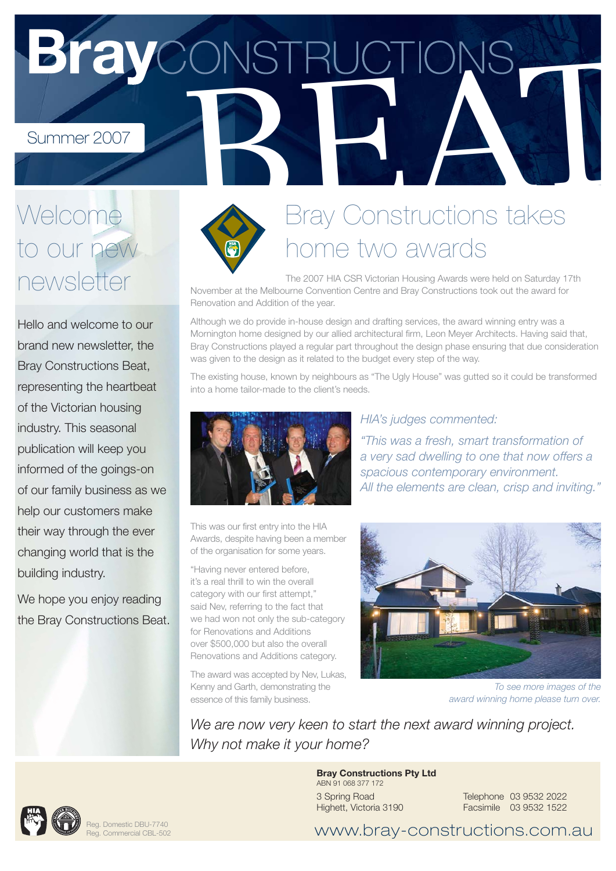BrayCONSTRUCTIONS

# Welcome to our new newsletter

Hello and welcome to our brand new newsletter, the Bray Constructions Beat, representing the heartbeat of the Victorian housing industry. This seasonal publication will keep you informed of the goings-on of our family business as we help our customers make their way through the ever changing world that is the building industry.

We hope you enjoy reading the Bray Constructions Beat.



### Bray Constructions takes ome two awards

The 2007 HIA CSR Victorian Housing Awards were held on Saturday 17th November at the Melbourne Convention Centre and Bray Constructions took out the award for Renovation and Addition of the year.

Although we do provide in-house design and drafting services, the award winning entry was a Mornington home designed by our allied architectural firm, Leon Meyer Architects. Having said that, Bray Constructions played a regular part throughout the design phase ensuring that due consideration was given to the design as it related to the budget every step of the way.

The existing house, known by neighbours as "The Ugly House" was gutted so it could be transformed into a home tailor-made to the client's needs.



This was our first entry into the HIA Awards, despite having been a member of the organisation for some years.

"Having never entered before, it's a real thrill to win the overall category with our first attempt," said Nev, referring to the fact that we had won not only the sub-category for Renovations and Additions over \$500,000 but also the overall Renovations and Additions category.

The award was accepted by Nev, Lukas, Kenny and Garth, demonstrating the essence of this family business.

### HIA's judges commented:

"This was a fresh, smart transformation of a very sad dwelling to one that now offers a spacious contemporary environment. All the elements are clean, crisp and inviting."



To see more images of the award winning home please turn over.

We are now very keen to start the next award winning project. Why not make it your home?

#### **Bray Constructions Pty Ltd** ABN 91 068 377 172 3 Spring Road Highett, Victoria 3190

Telephone 03 9532 2022 Facsimile 03 9532 1522



Reg. Domestic DBU-7740 Reg. Commercial CBL-502

www.bray-constructions.com.au